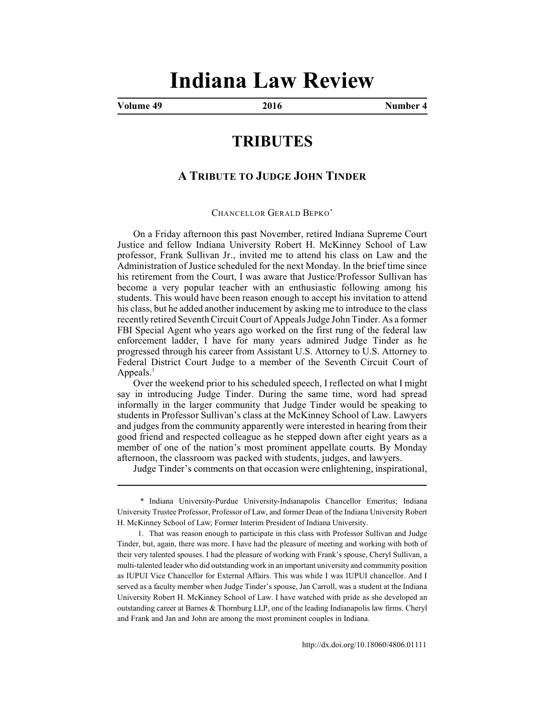## **Indiana Law Review**

**Volume 49 2016 Number 4**

## **TRIBUTES**

## **A TRIBUTE TO JUDGE JOHN TINDER**

CHANCELLOR GERALD BEPKO\*

On a Friday afternoon this past November, retired Indiana Supreme Court Justice and fellow Indiana University Robert H. McKinney School of Law professor, Frank Sullivan Jr., invited me to attend his class on Law and the Administration of Justice scheduled for the next Monday. In the brief time since his retirement from the Court, I was aware that Justice/Professor Sullivan has become a very popular teacher with an enthusiastic following among his students. This would have been reason enough to accept his invitation to attend his class, but he added another inducement by asking me to introduce to the class recently retired Seventh Circuit Court of Appeals Judge John Tinder. As a former FBI Special Agent who years ago worked on the first rung of the federal law enforcement ladder, I have for many years admired Judge Tinder as he progressed through his career from Assistant U.S. Attorney to U.S. Attorney to Federal District Court Judge to a member of the Seventh Circuit Court of Appeals. $<sup>1</sup>$ </sup>

Over the weekend prior to his scheduled speech, I reflected on what I might say in introducing Judge Tinder. During the same time, word had spread informally in the larger community that Judge Tinder would be speaking to students in Professor Sullivan's class at the McKinney School of Law. Lawyers and judges from the community apparently were interested in hearing from their good friend and respected colleague as he stepped down after eight years as a member of one of the nation's most prominent appellate courts. By Monday afternoon, the classroom was packed with students, judges, and lawyers.

Judge Tinder's comments on that occasion were enlightening, inspirational,

<sup>\*</sup> Indiana University-Purdue University-Indianapolis Chancellor Emeritus; Indiana University Trustee Professor, Professor of Law, and former Dean of the Indiana University Robert H. McKinney School of Law; Former Interim President of Indiana University.

<sup>1.</sup> That was reason enough to participate in this class with Professor Sullivan and Judge Tinder, but, again, there was more. I have had the pleasure of meeting and working with both of their very talented spouses. I had the pleasure of working with Frank's spouse, Cheryl Sullivan, a multi-talented leader who did outstanding work in an important university and community position as IUPUI Vice Chancellor for External Affairs. This was while I was IUPUI chancellor. And I served as a faculty member when Judge Tinder's spouse, Jan Carroll, was a student at the Indiana University Robert H. McKinney School of Law. I have watched with pride as she developed an outstanding career at Barnes & Thornburg LLP, one of the leading Indianapolis law firms. Cheryl and Frank and Jan and John are among the most prominent couples in Indiana.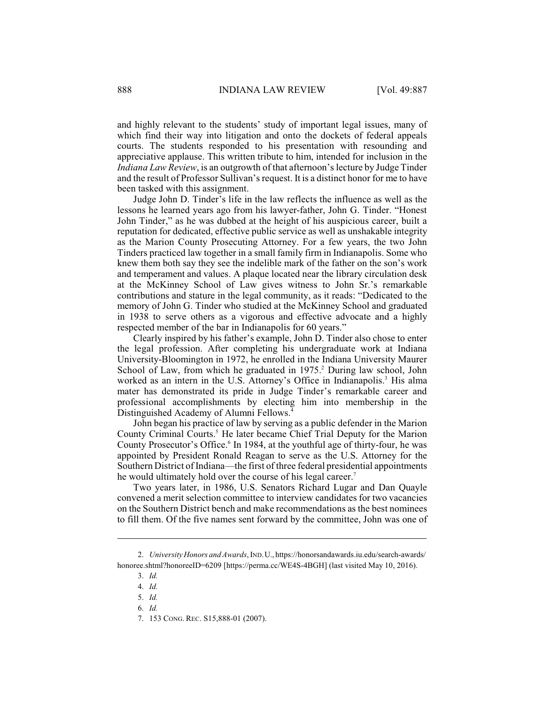and highly relevant to the students' study of important legal issues, many of which find their way into litigation and onto the dockets of federal appeals courts. The students responded to his presentation with resounding and appreciative applause. This written tribute to him, intended for inclusion in the *Indiana Law Review*, is an outgrowth of that afternoon's lecture by Judge Tinder and the result of Professor Sullivan's request. It is a distinct honor for me to have been tasked with this assignment.

Judge John D. Tinder's life in the law reflects the influence as well as the lessons he learned years ago from his lawyer-father, John G. Tinder. "Honest John Tinder," as he was dubbed at the height of his auspicious career, built a reputation for dedicated, effective public service as well as unshakable integrity as the Marion County Prosecuting Attorney. For a few years, the two John Tinders practiced law together in a small family firm in Indianapolis. Some who knew them both say they see the indelible mark of the father on the son's work and temperament and values. A plaque located near the library circulation desk at the McKinney School of Law gives witness to John Sr.'s remarkable contributions and stature in the legal community, as it reads: "Dedicated to the memory of John G. Tinder who studied at the McKinney School and graduated in 1938 to serve others as a vigorous and effective advocate and a highly respected member of the bar in Indianapolis for 60 years."

Clearly inspired by his father's example, John D. Tinder also chose to enter the legal profession. After completing his undergraduate work at Indiana University-Bloomington in 1972, he enrolled in the Indiana University Maurer School of Law, from which he graduated in 1975.<sup>2</sup> During law school, John worked as an intern in the U.S. Attorney's Office in Indianapolis.<sup>3</sup> His alma mater has demonstrated its pride in Judge Tinder's remarkable career and professional accomplishments by electing him into membership in the Distinguished Academy of Alumni Fellows. 4

John began his practice of law by serving as a public defender in the Marion County Criminal Courts.<sup>5</sup> He later became Chief Trial Deputy for the Marion County Prosecutor's Office.<sup>6</sup> In 1984, at the youthful age of thirty-four, he was appointed by President Ronald Reagan to serve as the U.S. Attorney for the Southern District of Indiana—the first of three federal presidential appointments he would ultimately hold over the course of his legal career.<sup>7</sup>

Two years later, in 1986, U.S. Senators Richard Lugar and Dan Quayle convened a merit selection committee to interview candidates for two vacancies on the Southern District bench and make recommendations as the best nominees to fill them. Of the five names sent forward by the committee, John was one of

<sup>2.</sup> *University Honors and Awards*, IND.U., https://honorsandawards.iu.edu/search-awards/ honoree.shtml?honoreeID=6209 [https://perma.cc/WE4S-4BGH] (last visited May 10, 2016).

<sup>3.</sup> *Id.*

<sup>4.</sup> *Id.*

<sup>5.</sup> *Id.* 

<sup>6.</sup> *Id.*

<sup>7.</sup> 153 CONG. REC. S15,888-01 (2007).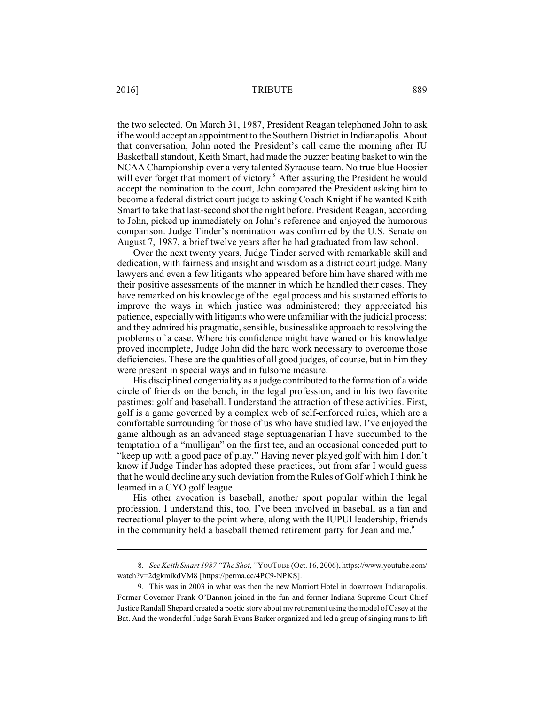the two selected. On March 31, 1987, President Reagan telephoned John to ask if he would accept an appointment to the Southern District in Indianapolis. About that conversation, John noted the President's call came the morning after IU Basketball standout, Keith Smart, had made the buzzer beating basket to win the NCAA Championship over a very talented Syracuse team. No true blue Hoosier will ever forget that moment of victory.<sup>8</sup> After assuring the President he would accept the nomination to the court, John compared the President asking him to become a federal district court judge to asking Coach Knight if he wanted Keith Smart to take that last-second shot the night before. President Reagan, according to John, picked up immediately on John's reference and enjoyed the humorous comparison. Judge Tinder's nomination was confirmed by the U.S. Senate on August 7, 1987, a brief twelve years after he had graduated from law school.

Over the next twenty years, Judge Tinder served with remarkable skill and dedication, with fairness and insight and wisdom as a district court judge. Many lawyers and even a few litigants who appeared before him have shared with me their positive assessments of the manner in which he handled their cases. They have remarked on his knowledge of the legal process and his sustained efforts to improve the ways in which justice was administered; they appreciated his patience, especially with litigants who were unfamiliar with the judicial process; and they admired his pragmatic, sensible, businesslike approach to resolving the problems of a case. Where his confidence might have waned or his knowledge proved incomplete, Judge John did the hard work necessary to overcome those deficiencies. These are the qualities of all good judges, of course, but in him they were present in special ways and in fulsome measure.

His disciplined congeniality as a judge contributed to the formation of a wide circle of friends on the bench, in the legal profession, and in his two favorite pastimes: golf and baseball. I understand the attraction of these activities. First, golf is a game governed by a complex web of self-enforced rules, which are a comfortable surrounding for those of us who have studied law. I've enjoyed the game although as an advanced stage septuagenarian I have succumbed to the temptation of a "mulligan" on the first tee, and an occasional conceded putt to "keep up with a good pace of play." Having never played golf with him I don't know if Judge Tinder has adopted these practices, but from afar I would guess that he would decline any such deviation from the Rules of Golf which I think he learned in a CYO golf league.

His other avocation is baseball, another sport popular within the legal profession. I understand this, too. I've been involved in baseball as a fan and recreational player to the point where, along with the IUPUI leadership, friends in the community held a baseball themed retirement party for Jean and me.<sup>9</sup>

<sup>8.</sup> *See Keith Smart 1987 "The Shot*,*"* YOUTUBE (Oct. 16, 2006), https://www.youtube.com/ watch?v=2dgkmikdVM8 [https://perma.cc/4PC9-NPKS].

<sup>9.</sup> This was in 2003 in what was then the new Marriott Hotel in downtown Indianapolis. Former Governor Frank O'Bannon joined in the fun and former Indiana Supreme Court Chief Justice Randall Shepard created a poetic story about my retirement using the model of Casey at the Bat. And the wonderful Judge Sarah Evans Barker organized and led a group of singing nuns to lift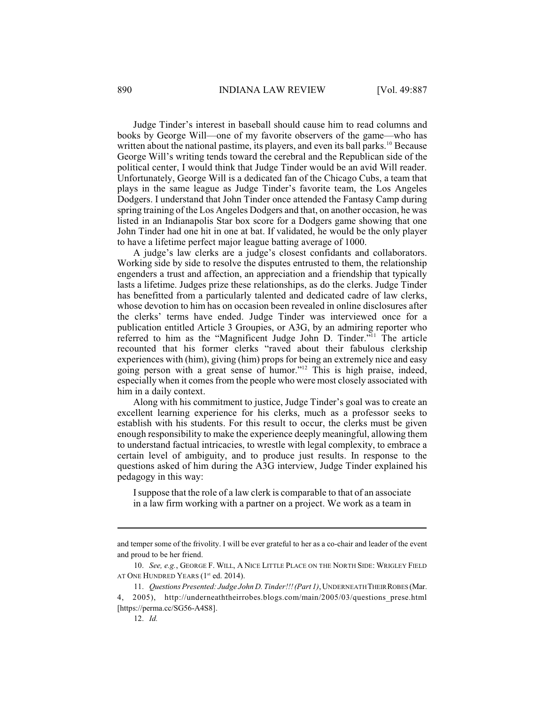Judge Tinder's interest in baseball should cause him to read columns and books by George Will—one of my favorite observers of the game—who has written about the national pastime, its players, and even its ball parks.<sup>10</sup> Because George Will's writing tends toward the cerebral and the Republican side of the political center, I would think that Judge Tinder would be an avid Will reader. Unfortunately, George Will is a dedicated fan of the Chicago Cubs, a team that plays in the same league as Judge Tinder's favorite team, the Los Angeles Dodgers. I understand that John Tinder once attended the Fantasy Camp during spring training of the Los Angeles Dodgers and that, on another occasion, he was listed in an Indianapolis Star box score for a Dodgers game showing that one John Tinder had one hit in one at bat. If validated, he would be the only player to have a lifetime perfect major league batting average of 1000.

A judge's law clerks are a judge's closest confidants and collaborators. Working side by side to resolve the disputes entrusted to them, the relationship engenders a trust and affection, an appreciation and a friendship that typically lasts a lifetime. Judges prize these relationships, as do the clerks. Judge Tinder has benefitted from a particularly talented and dedicated cadre of law clerks, whose devotion to him has on occasion been revealed in online disclosures after the clerks' terms have ended. Judge Tinder was interviewed once for a publication entitled Article 3 Groupies, or A3G, by an admiring reporter who referred to him as the "Magnificent Judge John D. Tinder."<sup>11</sup> The article recounted that his former clerks "raved about their fabulous clerkship experiences with (him), giving (him) props for being an extremely nice and easy going person with a great sense of humor."<sup>12</sup> This is high praise, indeed, especially when it comes from the people who were most closely associated with him in a daily context.

Along with his commitment to justice, Judge Tinder's goal was to create an excellent learning experience for his clerks, much as a professor seeks to establish with his students. For this result to occur, the clerks must be given enough responsibility to make the experience deeply meaningful, allowing them to understand factual intricacies, to wrestle with legal complexity, to embrace a certain level of ambiguity, and to produce just results. In response to the questions asked of him during the A3G interview, Judge Tinder explained his pedagogy in this way:

Isuppose that the role of a law clerk is comparable to that of an associate in a law firm working with a partner on a project. We work as a team in

and temper some of the frivolity. I will be ever grateful to her as a co-chair and leader of the event and proud to be her friend.

<sup>10.</sup> *See, e.g.*, GEORGE F. WILL, A NICE LITTLE PLACE ON THE NORTH SIDE: WRIGLEY FIELD AT ONE HUNDRED YEARS (1<sup>st</sup> ed. 2014).

<sup>11.</sup> *Questions Presented: Judge John D. Tinder!!!(Part 1)*, UNDERNEATH THEIR ROBES (Mar. 4, 2005), http://underneaththeirrobes.blogs.com/main/2005/03/questions\_prese.html [https://perma.cc/SG56-A4S8].

<sup>12.</sup> *Id.*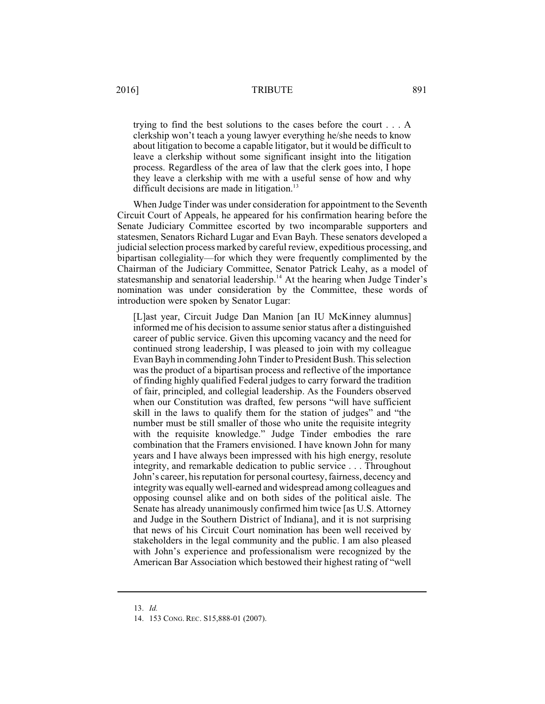## 2016] TRIBUTE 891

trying to find the best solutions to the cases before the court . . . A clerkship won't teach a young lawyer everything he/she needs to know about litigation to become a capable litigator, but it would be difficult to leave a clerkship without some significant insight into the litigation process. Regardless of the area of law that the clerk goes into, I hope they leave a clerkship with me with a useful sense of how and why difficult decisions are made in litigation.<sup>13</sup>

When Judge Tinder was under consideration for appointment to the Seventh Circuit Court of Appeals, he appeared for his confirmation hearing before the Senate Judiciary Committee escorted by two incomparable supporters and statesmen, Senators Richard Lugar and Evan Bayh. These senators developed a judicial selection process marked by careful review, expeditious processing, and bipartisan collegiality—for which they were frequently complimented by the Chairman of the Judiciary Committee, Senator Patrick Leahy, as a model of statesmanship and senatorial leadership.<sup>14</sup> At the hearing when Judge Tinder's nomination was under consideration by the Committee, these words of introduction were spoken by Senator Lugar:

[L]ast year, Circuit Judge Dan Manion [an IU McKinney alumnus] informed me of his decision to assume senior status after a distinguished career of public service. Given this upcoming vacancy and the need for continued strong leadership, I was pleased to join with my colleague Evan Bayh in commending John Tinder to President Bush. This selection was the product of a bipartisan process and reflective of the importance of finding highly qualified Federal judges to carry forward the tradition of fair, principled, and collegial leadership. As the Founders observed when our Constitution was drafted, few persons "will have sufficient skill in the laws to qualify them for the station of judges" and "the number must be still smaller of those who unite the requisite integrity with the requisite knowledge." Judge Tinder embodies the rare combination that the Framers envisioned. I have known John for many years and I have always been impressed with his high energy, resolute integrity, and remarkable dedication to public service . . . Throughout John's career, his reputation for personal courtesy, fairness, decency and integrity was equally well-earned and widespread among colleagues and opposing counsel alike and on both sides of the political aisle. The Senate has already unanimously confirmed him twice [as U.S. Attorney and Judge in the Southern District of Indiana], and it is not surprising that news of his Circuit Court nomination has been well received by stakeholders in the legal community and the public. I am also pleased with John's experience and professionalism were recognized by the American Bar Association which bestowed their highest rating of "well

<sup>13.</sup> *Id.*

<sup>14.</sup> 153 CONG. REC. S15,888-01 (2007).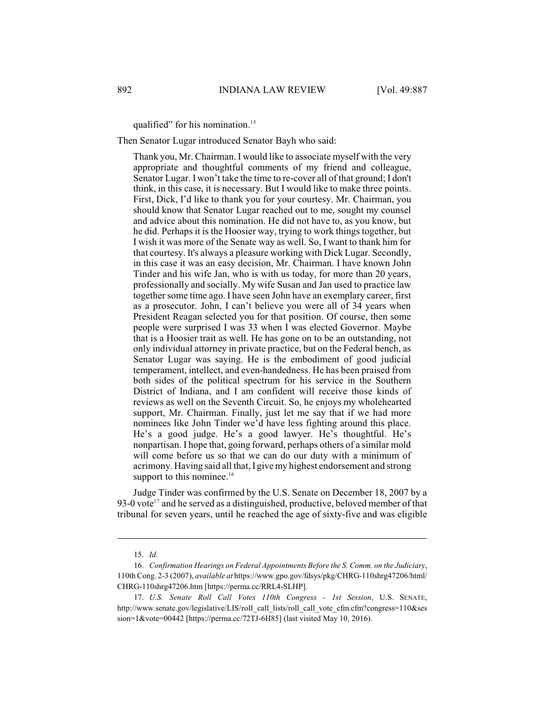qualified" for his nomination. 15

Then Senator Lugar introduced Senator Bayh who said:

Thank you, Mr. Chairman. I would like to associate myself with the very appropriate and thoughtful comments of my friend and colleague, Senator Lugar. I won't take the time to re-cover all of that ground; I don't think, in this case, it is necessary. But I would like to make three points. First, Dick, I'd like to thank you for your courtesy. Mr. Chairman, you should know that Senator Lugar reached out to me, sought my counsel and advice about this nomination. He did not have to, as you know, but he did. Perhaps it is the Hoosier way, trying to work things together, but I wish it was more of the Senate way as well. So, I want to thank him for that courtesy. It's always a pleasure working with Dick Lugar. Secondly, in this case it was an easy decision, Mr. Chairman. I have known John Tinder and his wife Jan, who is with us today, for more than 20 years, professionally and socially. My wife Susan and Jan used to practice law together some time ago. I have seen John have an exemplary career, first as a prosecutor. John, I can't believe you were all of 34 years when President Reagan selected you for that position. Of course, then some people were surprised I was 33 when I was elected Governor. Maybe that is a Hoosier trait as well. He has gone on to be an outstanding, not only individual attorney in private practice, but on the Federal bench, as Senator Lugar was saying. He is the embodiment of good judicial temperament, intellect, and even-handedness. He has been praised from both sides of the political spectrum for his service in the Southern District of Indiana, and I am confident will receive those kinds of reviews as well on the Seventh Circuit. So, he enjoys my wholehearted support, Mr. Chairman. Finally, just let me say that if we had more nominees like John Tinder we'd have less fighting around this place. He's a good judge. He's a good lawyer. He's thoughtful. He's nonpartisan. I hope that, going forward, perhaps others of a similar mold will come before us so that we can do our duty with a minimum of acrimony. Having said all that, I give my highest endorsement and strong support to this nominee.<sup>16</sup>

Judge Tinder was confirmed by the U.S. Senate on December 18, 2007 by a 93-0 vote<sup>17</sup> and he served as a distinguished, productive, beloved member of that tribunal for seven years, until he reached the age of sixty-five and was eligible

<sup>15.</sup> *Id.*

<sup>16.</sup> *Confirmation Hearings on Federal Appointments Before the S. Comm. on the Judiciary*, 110th Cong. 2-3 (2007), *available at* https://www.gpo.gov/fdsys/pkg/CHRG-110shrg47206/html/ CHRG-110shrg47206.htm [https://perma.cc/RRL4-SLHP].

<sup>17.</sup> *U.S. Senate Roll Call Votes 110th Congress - 1st Session*, U.S. SENATE, http://www.senate.gov/legislative/LIS/roll\_call\_lists/roll\_call\_vote\_cfm.cfm?congress=110&ses sion=1&vote=00442 [https://perma.cc/72TJ-6H85] (last visited May 10, 2016).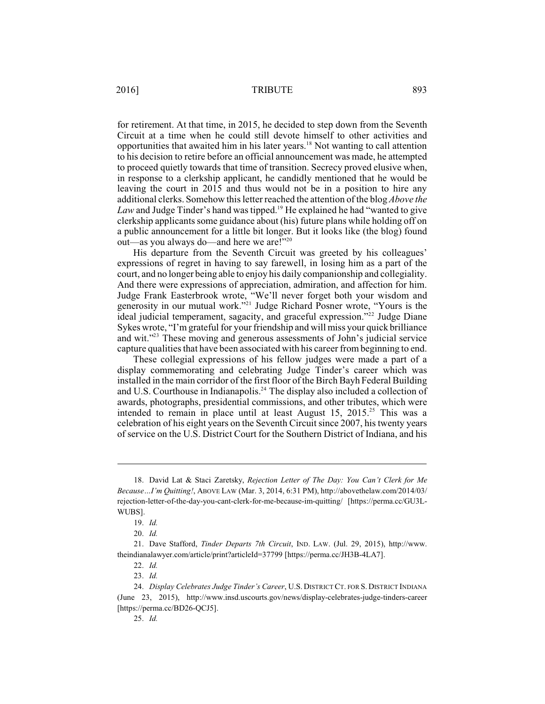for retirement. At that time, in 2015, he decided to step down from the Seventh Circuit at a time when he could still devote himself to other activities and opportunities that awaited him in his later years.<sup>18</sup> Not wanting to call attention to his decision to retire before an official announcement was made, he attempted to proceed quietly towards that time of transition. Secrecy proved elusive when, in response to a clerkship applicant, he candidly mentioned that he would be leaving the court in 2015 and thus would not be in a position to hire any additional clerks. Somehow this letter reached the attention of the blog *Above the* Law and Judge Tinder's hand was tipped.<sup>19</sup> He explained he had "wanted to give clerkship applicants some guidance about (his) future plans while holding off on a public announcement for a little bit longer. But it looks like (the blog) found out—as you always do—and here we are!"<sup>20</sup>

His departure from the Seventh Circuit was greeted by his colleagues' expressions of regret in having to say farewell, in losing him as a part of the court, and no longer being able to enjoy his daily companionship and collegiality. And there were expressions of appreciation, admiration, and affection for him. Judge Frank Easterbrook wrote, "We'll never forget both your wisdom and generosity in our mutual work."<sup>21</sup> Judge Richard Posner wrote, "Yours is the ideal judicial temperament, sagacity, and graceful expression."<sup>22</sup> Judge Diane Sykes wrote, "I'm grateful for your friendship and will miss your quick brilliance and wit."<sup>23</sup> These moving and generous assessments of John's judicial service capture qualities that have been associated with his career frombeginning to end.

These collegial expressions of his fellow judges were made a part of a display commemorating and celebrating Judge Tinder's career which was installed in the main corridor of the first floor of the Birch Bayh Federal Building and U.S. Courthouse in Indianapolis.<sup>24</sup> The display also included a collection of awards, photographs, presidential commissions, and other tributes, which were intended to remain in place until at least August  $15$ ,  $2015.^{25}$  This was a celebration of his eight years on the Seventh Circuit since 2007, his twenty years of service on the U.S. District Court for the Southern District of Indiana, and his

<sup>18.</sup> David Lat & Staci Zaretsky, *Rejection Letter of The Day: You Can't Clerk for Me Because…I'm Quitting!*, ABOVE LAW (Mar. 3, 2014, 6:31 PM), http://abovethelaw.com/2014/03/ rejection-letter-of-the-day-you-cant-clerk-for-me-because-im-quitting/ [https://perma.cc/GU3L-WUBS].

<sup>19.</sup> *Id.*

<sup>20.</sup> *Id.*

<sup>21.</sup> Dave Stafford, *Tinder Departs 7th Circuit*, IND. LAW. (Jul. 29, 2015), http://www. theindianalawyer.com/article/print?articleId=37799 [https://perma.cc/JH3B-4LA7].

<sup>22.</sup> *Id.*

<sup>23.</sup> *Id.*

<sup>24.</sup> *Display Celebrates Judge Tinder's Career*, U.S. DISTRICT CT. FOR S. DISTRICT INDIANA (June 23, 2015), http://www.insd.uscourts.gov/news/display-celebrates-judge-tinders-career [https://perma.cc/BD26-QCJ5].

<sup>25.</sup> *Id.*